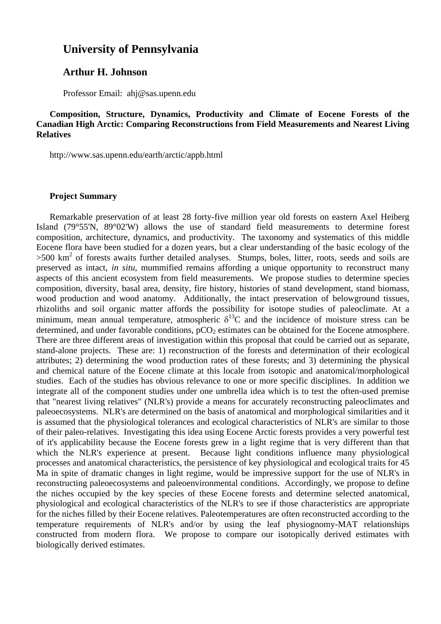# **University of Pennsylvania**

## **Arthur H. Johnson**

Professor Email: ahj@sas.upenn.edu

**Composition, Structure, Dynamics, Productivity and Climate of Eocene Forests of the Canadian High Arctic: Comparing Reconstructions from Field Measurements and Nearest Living Relatives** 

http://www.sas.upenn.edu/earth/arctic/appb.html

## **Project Summary**

Remarkable preservation of at least 28 forty-five million year old forests on eastern Axel Heiberg Island (79°55'N, 89°02'W) allows the use of standard field measurements to determine forest composition, architecture, dynamics, and productivity. The taxonomy and systematics of this middle Eocene flora have been studied for a dozen years, but a clear understanding of the basic ecology of the >500 km<sup>2</sup> of forests awaits further detailed analyses. Stumps, boles, litter, roots, seeds and soils are preserved as intact, *in situ*, mummified remains affording a unique opportunity to reconstruct many aspects of this ancient ecosystem from field measurements. We propose studies to determine species composition, diversity, basal area, density, fire history, histories of stand development, stand biomass, wood production and wood anatomy. Additionally, the intact preservation of belowground tissues, rhizoliths and soil organic matter affords the possibility for isotope studies of paleoclimate. At a minimum, mean annual temperature, atmospheric  $\delta^{13}$ C and the incidence of moisture stress can be determined, and under favorable conditions,  $pCO<sub>2</sub>$  estimates can be obtained for the Eocene atmosphere. There are three different areas of investigation within this proposal that could be carried out as separate, stand-alone projects. These are: 1) reconstruction of the forests and determination of their ecological attributes; 2) determining the wood production rates of these forests; and 3) determining the physical and chemical nature of the Eocene climate at this locale from isotopic and anatomical/morphological studies. Each of the studies has obvious relevance to one or more specific disciplines. In addition we integrate all of the component studies under one umbrella idea which is to test the often-used premise that "nearest living relatives" (NLR's) provide a means for accurately reconstructing paleoclimates and paleoecosystems. NLR's are determined on the basis of anatomical and morphological similarities and it is assumed that the physiological tolerances and ecological characteristics of NLR's are similar to those of their paleo-relatives. Investigating this idea using Eocene Arctic forests provides a very powerful test of it's applicability because the Eocene forests grew in a light regime that is very different than that which the NLR's experience at present. Because light conditions influence many physiological processes and anatomical characteristics, the persistence of key physiological and ecological traits for 45 Ma in spite of dramatic changes in light regime, would be impressive support for the use of NLR's in reconstructing paleoecosystems and paleoenvironmental conditions. Accordingly, we propose to define the niches occupied by the key species of these Eocene forests and determine selected anatomical, physiological and ecological characteristics of the NLR's to see if those characteristics are appropriate for the niches filled by their Eocene relatives. Paleotemperatures are often reconstructed according to the temperature requirements of NLR's and/or by using the leaf physiognomy-MAT relationships constructed from modern flora. We propose to compare our isotopically derived estimates with biologically derived estimates.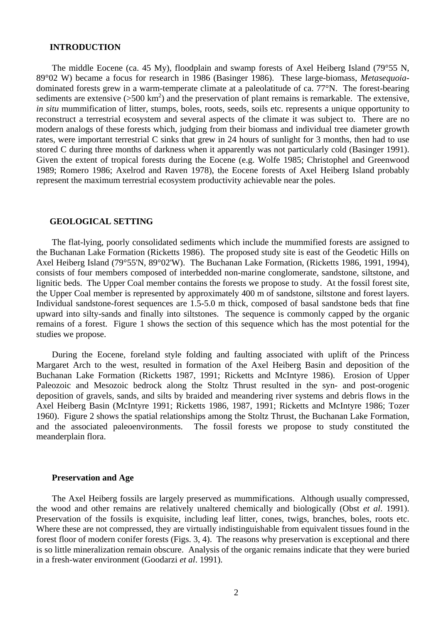### **INTRODUCTION**

 The middle Eocene (ca. 45 My), floodplain and swamp forests of Axel Heiberg Island (79°55 N, 89°02 W) became a focus for research in 1986 (Basinger 1986). These large-biomass, *Metasequoia*dominated forests grew in a warm-temperate climate at a paleolatitude of ca. 77°N. The forest-bearing sediments are extensive  $(500 \text{ km}^2)$  and the preservation of plant remains is remarkable. The extensive, *in situ* mummification of litter, stumps, boles, roots, seeds, soils etc. represents a unique opportunity to reconstruct a terrestrial ecosystem and several aspects of the climate it was subject to. There are no modern analogs of these forests which, judging from their biomass and individual tree diameter growth rates, were important terrestrial C sinks that grew in 24 hours of sunlight for 3 months, then had to use stored C during three months of darkness when it apparently was not particularly cold (Basinger 1991). Given the extent of tropical forests during the Eocene (e.g. Wolfe 1985; Christophel and Greenwood 1989; Romero 1986; Axelrod and Raven 1978), the Eocene forests of Axel Heiberg Island probably represent the maximum terrestrial ecosystem productivity achievable near the poles.

### **GEOLOGICAL SETTING**

 The flat-lying, poorly consolidated sediments which include the mummified forests are assigned to the Buchanan Lake Formation (Ricketts 1986). The proposed study site is east of the Geodetic Hills on Axel Heiberg Island (79°55'N, 89°02'W). The Buchanan Lake Formation, (Ricketts 1986, 1991, 1994), consists of four members composed of interbedded non-marine conglomerate, sandstone, siltstone, and lignitic beds. The Upper Coal member contains the forests we propose to study. At the fossil forest site, the Upper Coal member is represented by approximately 400 m of sandstone, siltstone and forest layers. Individual sandstone-forest sequences are 1.5-5.0 m thick, composed of basal sandstone beds that fine upward into silty-sands and finally into siltstones. The sequence is commonly capped by the organic remains of a forest. Figure 1 shows the section of this sequence which has the most potential for the studies we propose.

 During the Eocene, foreland style folding and faulting associated with uplift of the Princess Margaret Arch to the west, resulted in formation of the Axel Heiberg Basin and deposition of the Buchanan Lake Formation (Ricketts 1987, 1991; Ricketts and McIntyre 1986). Erosion of Upper Paleozoic and Mesozoic bedrock along the Stoltz Thrust resulted in the syn- and post-orogenic deposition of gravels, sands, and silts by braided and meandering river systems and debris flows in the Axel Heiberg Basin (McIntyre 1991; Ricketts 1986, 1987, 1991; Ricketts and McIntyre 1986; Tozer 1960). Figure 2 shows the spatial relationships among the Stoltz Thrust, the Buchanan Lake Formation, and the associated paleoenvironments. The fossil forests we propose to study constituted the meanderplain flora.

## **Preservation and Age**

 The Axel Heiberg fossils are largely preserved as mummifications. Although usually compressed, the wood and other remains are relatively unaltered chemically and biologically (Obst *et al*. 1991). Preservation of the fossils is exquisite, including leaf litter, cones, twigs, branches, boles, roots etc. Where these are not compressed, they are virtually indistinguishable from equivalent tissues found in the forest floor of modern conifer forests (Figs. 3, 4). The reasons why preservation is exceptional and there is so little mineralization remain obscure. Analysis of the organic remains indicate that they were buried in a fresh-water environment (Goodarzi *et al*. 1991).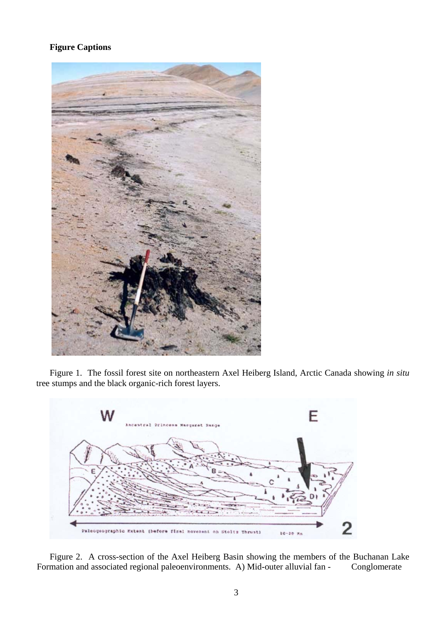# **Figure Captions**



Figure 1. The fossil forest site on northeastern Axel Heiberg Island, Arctic Canada showing *in situ* tree stumps and the black organic-rich forest layers.



Figure 2. A cross-section of the Axel Heiberg Basin showing the members of the Buchanan Lake Formation and associated regional paleoenvironments. A) Mid-outer alluvial fan - Conglomerate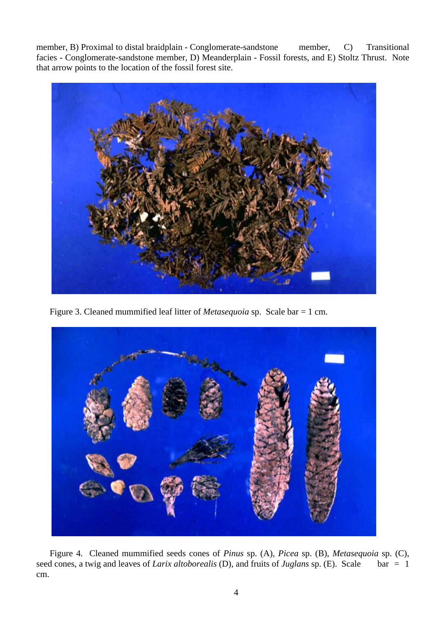member, B) Proximal to distal braidplain - Conglomerate-sandstone member, C) Transitional facies - Conglomerate-sandstone member, D) Meanderplain - Fossil forests, and E) Stoltz Thrust. Note that arrow points to the location of the fossil forest site.



Figure 3. Cleaned mummified leaf litter of *Metasequoia* sp. Scale bar = 1 cm.



Figure 4. Cleaned mummified seeds cones of *Pinus* sp. (A), *Picea* sp. (B), *Metasequoia* sp. (C), seed cones, a twig and leaves of *Larix altoborealis* (D), and fruits of *Juglans* sp. (E). Scale bar = 1 cm.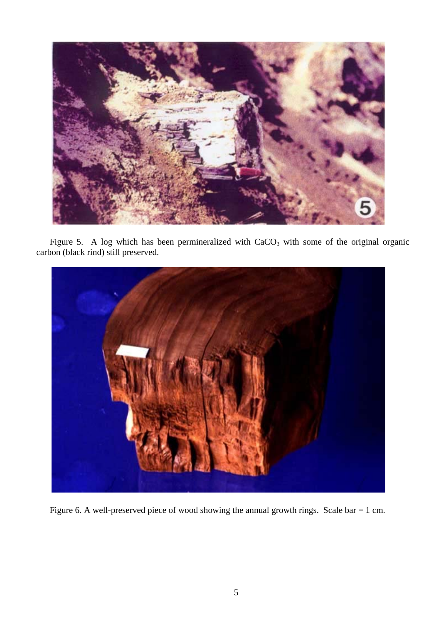

Figure 5. A log which has been permineralized with  $CaCO<sub>3</sub>$  with some of the original organic carbon (black rind) still preserved.



Figure 6. A well-preserved piece of wood showing the annual growth rings. Scale bar = 1 cm.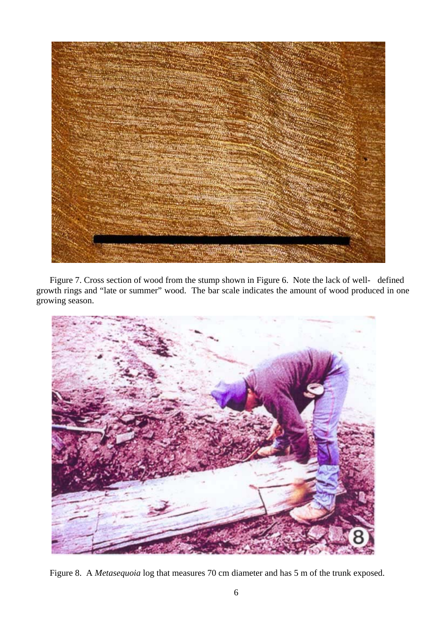

Figure 7. Cross section of wood from the stump shown in Figure 6. Note the lack of well- defined growth rings and "late or summer" wood. The bar scale indicates the amount of wood produced in one growing season.



Figure 8. A *Metasequoia* log that measures 70 cm diameter and has 5 m of the trunk exposed.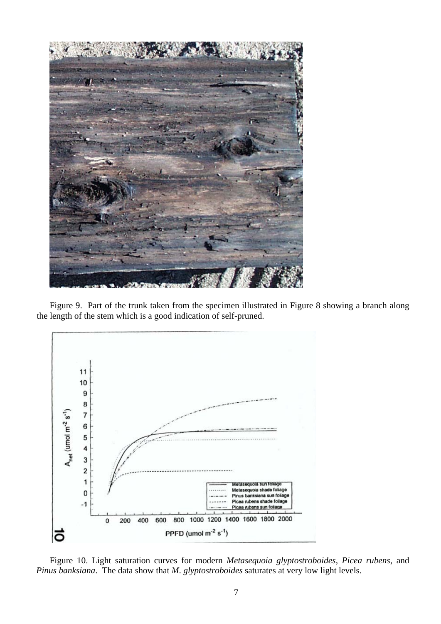

Figure 9. Part of the trunk taken from the specimen illustrated in Figure 8 showing a branch along the length of the stem which is a good indication of self-pruned.



Figure 10. Light saturation curves for modern *Metasequoia glyptostroboides*, *Picea rubens*, and *Pinus banksiana*. The data show that *M*. *glyptostroboides* saturates at very low light levels.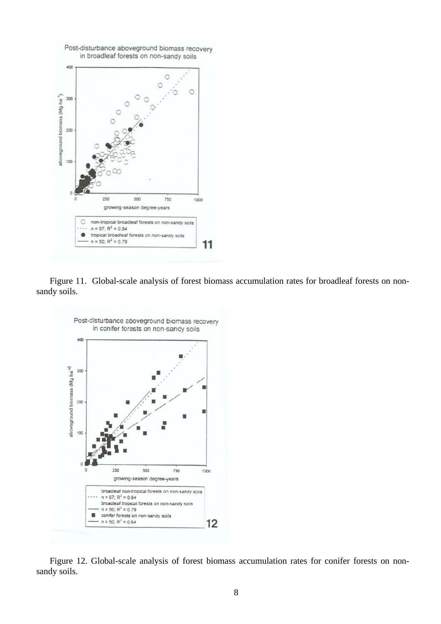

Figure 11. Global-scale analysis of forest biomass accumulation rates for broadleaf forests on nonsandy soils.



Figure 12. Global-scale analysis of forest biomass accumulation rates for conifer forests on nonsandy soils.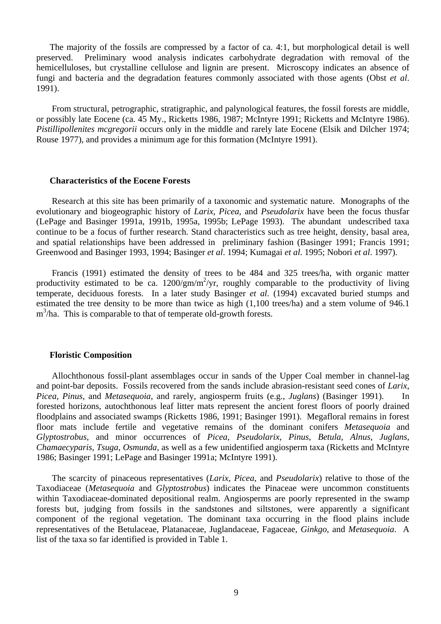The majority of the fossils are compressed by a factor of ca. 4:1, but morphological detail is well preserved. Preliminary wood analysis indicates carbohydrate degradation with removal of the hemicelluloses, but crystalline cellulose and lignin are present. Microscopy indicates an absence of fungi and bacteria and the degradation features commonly associated with those agents (Obst *et al*. 1991).

 From structural, petrographic, stratigraphic, and palynological features, the fossil forests are middle, or possibly late Eocene (ca. 45 My., Ricketts 1986, 1987; McIntyre 1991; Ricketts and McIntyre 1986). *Pistillipollenites mcgregorii* occurs only in the middle and rarely late Eocene (Elsik and Dilcher 1974; Rouse 1977), and provides a minimum age for this formation (McIntyre 1991).

#### **Characteristics of the Eocene Forests**

 Research at this site has been primarily of a taxonomic and systematic nature. Monographs of the evolutionary and biogeographic history of *Larix*, *Picea*, and *Pseudolarix* have been the focus thusfar (LePage and Basinger 1991a, 1991b, 1995a, 1995b; LePage 1993). The abundant undescribed taxa continue to be a focus of further research. Stand characteristics such as tree height, density, basal area, and spatial relationships have been addressed in preliminary fashion (Basinger 1991; Francis 1991; Greenwood and Basinger 1993, 1994; Basinger *et al*. 1994; Kumagai *et al*. 1995; Nobori *et al*. 1997).

 Francis (1991) estimated the density of trees to be 484 and 325 trees/ha, with organic matter productivity estimated to be ca.  $1200/\text{gm/m}^2/\text{yr}$ , roughly comparable to the productivity of living temperate, deciduous forests. In a later study Basinger *et al*. (1994) excavated buried stumps and estimated the tree density to be more than twice as high (1,100 trees/ha) and a stem volume of 946.1 m<sup>3</sup>/ha. This is comparable to that of temperate old-growth forests.

#### **Floristic Composition**

 Allochthonous fossil-plant assemblages occur in sands of the Upper Coal member in channel-lag and point-bar deposits. Fossils recovered from the sands include abrasion-resistant seed cones of *Larix*, *Picea*, *Pinus*, and *Metasequoia*, and rarely, angiosperm fruits (e.g., *Juglans*) (Basinger 1991). In forested horizons, autochthonous leaf litter mats represent the ancient forest floors of poorly drained floodplains and associated swamps (Ricketts 1986, 1991; Basinger 1991). Megafloral remains in forest floor mats include fertile and vegetative remains of the dominant conifers *Metasequoia* and *Glyptostrobus*, and minor occurrences of *Picea*, *Pseudolarix*, *Pinus*, *Betula*, *Alnus*, *Juglans*, *Chamaecyparis*, *Tsuga*, *Osmunda*, as well as a few unidentified angiosperm taxa (Ricketts and McIntyre 1986; Basinger 1991; LePage and Basinger 1991a; McIntyre 1991).

 The scarcity of pinaceous representatives (*Larix*, *Picea*, and *Pseudolarix*) relative to those of the Taxodiaceae (*Metasequoia* and *Glyptostrobus*) indicates the Pinaceae were uncommon constituents within Taxodiaceae-dominated depositional realm. Angiosperms are poorly represented in the swamp forests but, judging from fossils in the sandstones and siltstones, were apparently a significant component of the regional vegetation. The dominant taxa occurring in the flood plains include representatives of the Betulaceae, Platanaceae, Juglandaceae, Fagaceae, *Ginkgo*, and *Metasequoia*. A list of the taxa so far identified is provided in Table 1.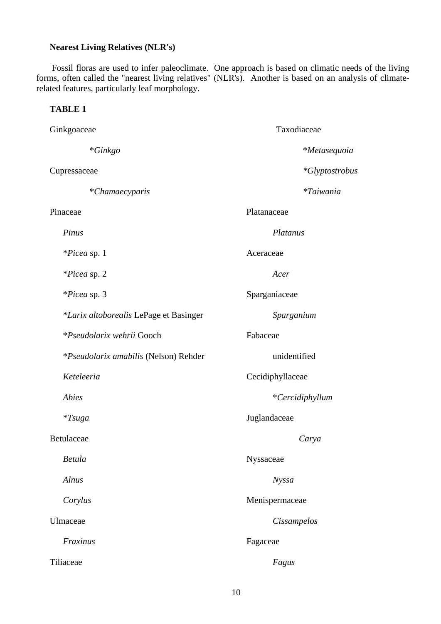# **Nearest Living Relatives (NLR's)**

 Fossil floras are used to infer paleoclimate. One approach is based on climatic needs of the living forms, often called the "nearest living relatives" (NLR's). Another is based on an analysis of climaterelated features, particularly leaf morphology.

## **TABLE 1**

| Ginkgoaceae                                   | Taxodiaceae            |
|-----------------------------------------------|------------------------|
| $*Ginkgo$                                     | *Metasequoia           |
| Cupressaceae                                  | <i>*Glyptostrobus</i>  |
| *Chamaecyparis                                | <i>*Taiwania</i>       |
| Pinaceae                                      | Platanaceae            |
| Pinus                                         | Platanus               |
| <i>*Picea</i> sp. 1                           | Aceraceae              |
| *Picea sp. 2                                  | Acer                   |
| <i>*Picea</i> sp. 3                           | Sparganiaceae          |
| <i>*Larix altoborealis</i> LePage et Basinger | Sparganium             |
| *Pseudolarix wehrii Gooch                     | Fabaceae               |
| *Pseudolarix amabilis (Nelson) Rehder         | unidentified           |
| Keteleeria                                    | Cecidiphyllaceae       |
| <b>Abies</b>                                  | <i>*Cercidiphyllum</i> |
| $*Tsuga$                                      | Juglandaceae           |
| Betulaceae                                    | Carya                  |
| <b>Betula</b>                                 | Nyssaceae              |
| Alnus                                         | <b>Nyssa</b>           |
| Corylus                                       | Menispermaceae         |
| Ulmaceae                                      | Cissampelos            |
| Fraxinus                                      | Fagaceae               |
| Tiliaceae                                     | Fagus                  |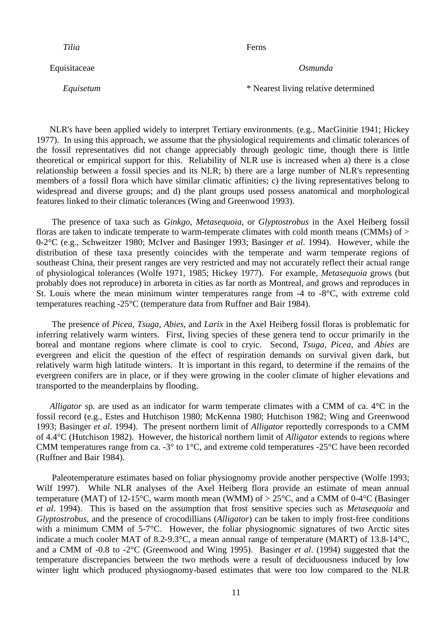Equisitaceae *Osmunda*

*Tilia* Ferns

*Equisetum* \* Nearest living relative determined

NLR's have been applied widely to interpret Tertiary environments. (e.g., MacGinitie 1941; Hickey 1977). In using this approach, we assume that the physiological requirements and climatic tolerances of the fossil representatives did not change appreciably through geologic time, though there is little theoretical or empirical support for this. Reliability of NLR use is increased when a) there is a close relationship between a fossil species and its NLR; b) there are a large number of NLR's representing members of a fossil flora which have similar climatic affinities; c) the living representatives belong to widespread and diverse groups; and d) the plant groups used possess anatomical and morphological features linked to their climatic tolerances (Wing and Greenwood 1993).

 The presence of taxa such as *Ginkgo*, *Metasequoia*, or *Glyptostrobus* in the Axel Heiberg fossil floras are taken to indicate temperate to warm-temperate climates with cold month means (CMMs) of  $>$ 0-2°C (e.g., Schweitzer 1980; McIver and Basinger 1993; Basinger *et al*. 1994). However, while the distribution of these taxa presently coincides with the temperate and warm temperate regions of southeast China, their present ranges are very restricted and may not accurately reflect their actual range of physiological tolerances (Wolfe 1971, 1985; Hickey 1977). For example, *Metasequoia* grows (but probably does not reproduce) in arboreta in cities as far north as Montreal, and grows and reproduces in St. Louis where the mean minimum winter temperatures range from -4 to -8°C, with extreme cold temperatures reaching -25°C (temperature data from Ruffner and Bair 1984).

 The presence of *Picea*, *Tsuga*, *Abies*, and *Larix* in the Axel Heiberg fossil floras is problematic for inferring relatively warm winters. First, living species of these genera tend to occur primarily in the boreal and montane regions where climate is cool to cryic. Second, *Tsuga, Picea*, and *Abies* are evergreen and elicit the question of the effect of respiration demands on survival given dark, but relatively warm high latitude winters. It is important in this regard, to determine if the remains of the evergreen conifers are in place, or if they were growing in the cooler climate of higher elevations and transported to the meanderplains by flooding.

*Alligator* sp. are used as an indicator for warm temperate climates with a CMM of ca. 4<sup>o</sup>C in the fossil record (e.g., Estes and Hutchison 1980; McKenna 1980; Hutchison 1982; Wing and Greenwood 1993; Basinger *et al*. 1994). The present northern limit of *Alligator* reportedly corresponds to a CMM of 4.4°C (Hutchison 1982). However, the historical northern limit of *Alligator* extends to regions where CMM temperatures range from ca. -3° to 1°C, and extreme cold temperatures -25°C have been recorded (Ruffner and Bair 1984).

 Paleotemperature estimates based on foliar physiognomy provide another perspective (Wolfe 1993; Wilf 1997). While NLR analyses of the Axel Heiberg flora provide an estimate of mean annual temperature (MAT) of 12-15°C, warm month mean (WMM) of  $> 25$ °C, and a CMM of 0-4°C (Basinger *et al*. 1994). This is based on the assumption that frost sensitive species such as *Metasequoia* and *Glyptostrobus*, and the presence of crocodillians (*Alligator*) can be taken to imply frost-free conditions with a minimum CMM of 5-7°C. However, the foliar physiognomic signatures of two Arctic sites indicate a much cooler MAT of 8.2-9.3°C, a mean annual range of temperature (MART) of 13.8-14°C, and a CMM of -0.8 to -2°C (Greenwood and Wing 1995). Basinger *et al*. (1994) suggested that the temperature discrepancies between the two methods were a result of deciduousness induced by low winter light which produced physiognomy-based estimates that were too low compared to the NLR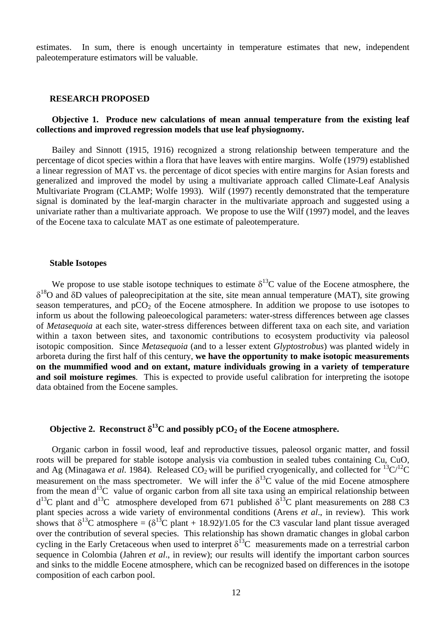estimates. In sum, there is enough uncertainty in temperature estimates that new, independent paleotemperature estimators will be valuable.

#### **RESEARCH PROPOSED**

## **Objective 1. Produce new calculations of mean annual temperature from the existing leaf collections and improved regression models that use leaf physiognomy.**

 Bailey and Sinnott (1915, 1916) recognized a strong relationship between temperature and the percentage of dicot species within a flora that have leaves with entire margins. Wolfe (1979) established a linear regression of MAT vs. the percentage of dicot species with entire margins for Asian forests and generalized and improved the model by using a multivariate approach called Climate-Leaf Analysis Multivariate Program (CLAMP; Wolfe 1993). Wilf (1997) recently demonstrated that the temperature signal is dominated by the leaf-margin character in the multivariate approach and suggested using a univariate rather than a multivariate approach. We propose to use the Wilf (1997) model, and the leaves of the Eocene taxa to calculate MAT as one estimate of paleotemperature.

### **Stable Isotopes**

We propose to use stable isotope techniques to estimate  $\delta^{13}$ C value of the Eocene atmosphere, the  $δ<sup>18</sup>O$  and δD values of paleoprecipitation at the site, site mean annual temperature (MAT), site growing season temperatures, and  $pCO<sub>2</sub>$  of the Eocene atmosphere. In addition we propose to use isotopes to inform us about the following paleoecological parameters: water-stress differences between age classes of *Metasequoia* at each site, water-stress differences between different taxa on each site, and variation within a taxon between sites, and taxonomic contributions to ecosystem productivity via paleosol isotopic composition. Since *Metasequoia* (and to a lesser extent *Glyptostrobus*) was planted widely in arboreta during the first half of this century, **we have the opportunity to make isotopic measurements on the mummified wood and on extant, mature individuals growing in a variety of temperature and soil moisture regimes**. This is expected to provide useful calibration for interpreting the isotope data obtained from the Eocene samples.

# **Objective 2. Reconstruct**  $\delta^{13}$ C and possibly pCO<sub>2</sub> of the Eocene atmosphere.

 Organic carbon in fossil wood, leaf and reproductive tissues, paleosol organic matter, and fossil roots will be prepared for stable isotope analysis via combustion in sealed tubes containing Cu, CuO, and Ag (Minagawa *et al.* 1984). Released  $CO_2$  will be purified cryogenically, and collected for <sup>13</sup>C/<sup>12</sup>C measurement on the mass spectrometer. We will infer the  $\delta^{13}$ C value of the mid Eocene atmosphere from the mean  $d^{13}C$  value of organic carbon from all site taxa using an empirical relationship between  $d^{13}C$  plant and  $d^{13}C$  atmosphere developed from 671 published  $\delta^{13}C$  plant measurements on 288 C3 plant species across a wide variety of environmental conditions (Arens *et al*., in review). This work shows that  $\delta^{13}$ C atmosphere =  $(\delta^{13}$ C plant + 18.92)/1.05 for the C3 vascular land plant tissue averaged over the contribution of several species. This relationship has shown dramatic changes in global carbon cycling in the Early Cretaceous when used to interpret  $\delta^{13}$ C measurements made on a terrestrial carbon sequence in Colombia (Jahren *et al*., in review); our results will identify the important carbon sources and sinks to the middle Eocene atmosphere, which can be recognized based on differences in the isotope composition of each carbon pool.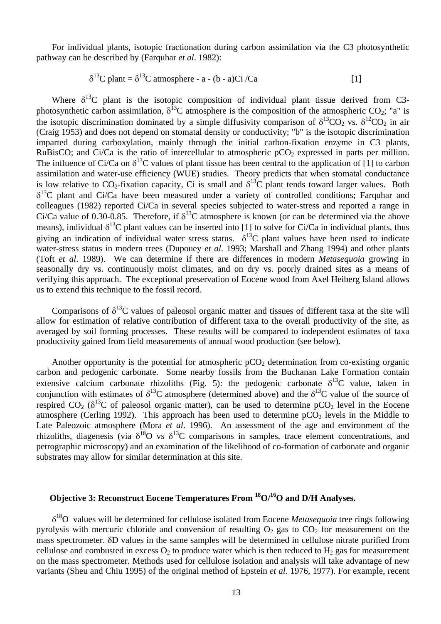For individual plants, isotopic fractionation during carbon assimilation via the C3 photosynthetic pathway can be described by (Farquhar *et al*. 1982):

$$
\delta^{13}C \text{ plant} = \delta^{13}C \text{ atmosphere} - a - (b - a)Ci / Ca \qquad [1]
$$

Where  $\delta^{13}$ C plant is the isotopic composition of individual plant tissue derived from C3photosynthetic carbon assimilation,  $\delta^{13}$ C atmosphere is the composition of the atmospheric CO<sub>2</sub>; "a" is the isotopic discrimination dominated by a simple diffusivity comparison of  $\delta^{13}CO_2$  vs.  $\delta^{12}CO_2$  in air (Craig 1953) and does not depend on stomatal density or conductivity; "b" is the isotopic discrimination imparted during carboxylation, mainly through the initial carbon-fixation enzyme in C3 plants, RuBisCO; and Ci/Ca is the ratio of intercellular to atmospheric  $pCO<sub>2</sub>$  expressed in parts per million. The influence of Ci/Ca on  $\delta^{13}$ C values of plant tissue has been central to the application of [1] to carbon assimilation and water-use efficiency (WUE) studies. Theory predicts that when stomatal conductance is low relative to CO<sub>2</sub>-fixation capacity. Ci is small and  $\delta^{13}$ C plant tends toward larger values. Both  $\delta^{13}$ C plant and Ci/Ca have been measured under a variety of controlled conditions; Farquhar and colleagues (1982) reported Ci/Ca in several species subjected to water-stress and reported a range in Ci/Ca value of 0.30-0.85. Therefore, if  $\delta^{13}$ C atmosphere is known (or can be determined via the above means), individual  $\delta^{13}C$  plant values can be inserted into [1] to solve for Ci/Ca in individual plants, thus giving an indication of individual water stress status.  $\delta^{13}$ C plant values have been used to indicate water-stress status in modern trees (Dupouey *et al*. 1993; Marshall and Zhang 1994) and other plants (Toft *et al*. 1989). We can determine if there are differences in modern *Metasequoia* growing in seasonally dry vs. continuously moist climates, and on dry vs. poorly drained sites as a means of verifying this approach. The exceptional preservation of Eocene wood from Axel Heiberg Island allows us to extend this technique to the fossil record.

Comparisons of  $\delta^{13}$ C values of paleosol organic matter and tissues of different taxa at the site will allow for estimation of relative contribution of different taxa to the overall productivity of the site, as averaged by soil forming processes. These results will be compared to independent estimates of taxa productivity gained from field measurements of annual wood production (see below).

Another opportunity is the potential for atmospheric  $pCO<sub>2</sub>$  determination from co-existing organic carbon and pedogenic carbonate. Some nearby fossils from the Buchanan Lake Formation contain extensive calcium carbonate rhizoliths (Fig. 5): the pedogenic carbonate  $\delta^{13}C$  value, taken in conjunction with estimates of  $\delta^{13}$ C atmosphere (determined above) and the  $\delta^{13}$ C value of the source of respired CO<sub>2</sub> ( $\delta^{13}$ C of paleosol organic matter), can be used to determine pCO<sub>2</sub> level in the Eocene atmosphere (Cerling 1992). This approach has been used to determine  $pCO<sub>2</sub>$  levels in the Middle to Late Paleozoic atmosphere (Mora *et al*. 1996). An assessment of the age and environment of the rhizoliths, diagenesis (via  $\delta^{18}O$  vs  $\delta^{13}C$  comparisons in samples, trace element concentrations, and petrographic microscopy) and an examination of the likelihood of co-formation of carbonate and organic substrates may allow for similar determination at this site.

# **Objective 3: Reconstruct Eocene Temperatures From 18O/16O and D/H Analyses.**

δ18O values will be determined for cellulose isolated from Eocene *Metasequoia* tree rings following pyrolysis with mercuric chloride and conversion of resulting  $O_2$  gas to  $CO_2$  for measurement on the mass spectrometer. δD values in the same samples will be determined in cellulose nitrate purified from cellulose and combusted in excess  $O_2$  to produce water which is then reduced to  $H_2$  gas for measurement on the mass spectrometer. Methods used for cellulose isolation and analysis will take advantage of new variants (Sheu and Chiu 1995) of the original method of Epstein *et al*. 1976, 1977). For example, recent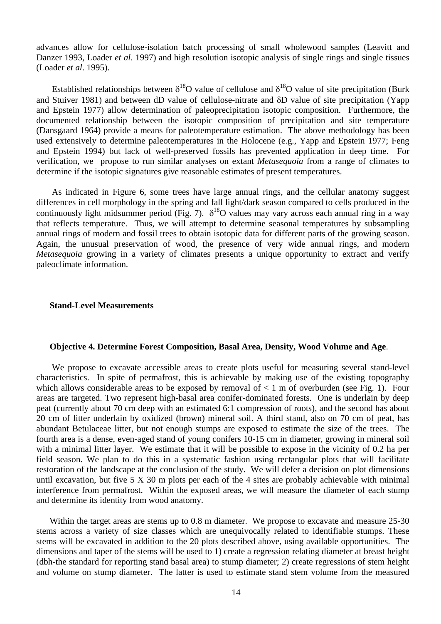advances allow for cellulose-isolation batch processing of small wholewood samples (Leavitt and Danzer 1993, Loader *et al*. 1997) and high resolution isotopic analysis of single rings and single tissues (Loader *et al*. 1995).

Established relationships between  $\delta^{18}O$  value of cellulose and  $\delta^{18}O$  value of site precipitation (Burk and Stuiver 1981) and between dD value of cellulose-nitrate and δD value of site precipitation (Yapp and Epstein 1977) allow determination of paleoprecipitation isotopic composition. Furthermore, the documented relationship between the isotopic composition of precipitation and site temperature (Dansgaard 1964) provide a means for paleotemperature estimation. The above methodology has been used extensively to determine paleotemperatures in the Holocene (e.g., Yapp and Epstein 1977; Feng and Epstein 1994) but lack of well-preserved fossils has prevented application in deep time. For verification, we propose to run similar analyses on extant *Metasequoia* from a range of climates to determine if the isotopic signatures give reasonable estimates of present temperatures.

 As indicated in Figure 6, some trees have large annual rings, and the cellular anatomy suggest differences in cell morphology in the spring and fall light/dark season compared to cells produced in the continuously light midsummer period (Fig. 7).  $\delta^{18}O$  values may vary across each annual ring in a way that reflects temperature. Thus, we will attempt to determine seasonal temperatures by subsampling annual rings of modern and fossil trees to obtain isotopic data for different parts of the growing season. Again, the unusual preservation of wood, the presence of very wide annual rings, and modern *Metasequoia* growing in a variety of climates presents a unique opportunity to extract and verify paleoclimate information.

## **Stand-Level Measurements**

### **Objective 4. Determine Forest Composition, Basal Area, Density, Wood Volume and Age**.

 We propose to excavate accessible areas to create plots useful for measuring several stand-level characteristics. In spite of permafrost, this is achievable by making use of the existing topography which allows considerable areas to be exposed by removal of  $< 1$  m of overburden (see Fig. 1). Four areas are targeted. Two represent high-basal area conifer-dominated forests. One is underlain by deep peat (currently about 70 cm deep with an estimated 6:1 compression of roots), and the second has about 20 cm of litter underlain by oxidized (brown) mineral soil. A third stand, also on 70 cm of peat, has abundant Betulaceae litter, but not enough stumps are exposed to estimate the size of the trees. The fourth area is a dense, even-aged stand of young conifers 10-15 cm in diameter, growing in mineral soil with a minimal litter layer. We estimate that it will be possible to expose in the vicinity of 0.2 ha per field season. We plan to do this in a systematic fashion using rectangular plots that will facilitate restoration of the landscape at the conclusion of the study. We will defer a decision on plot dimensions until excavation, but five 5 X 30 m plots per each of the 4 sites are probably achievable with minimal interference from permafrost. Within the exposed areas, we will measure the diameter of each stump and determine its identity from wood anatomy.

Within the target areas are stems up to 0.8 m diameter. We propose to excavate and measure 25-30 stems across a variety of size classes which are unequivocally related to identifiable stumps. These stems will be excavated in addition to the 20 plots described above, using available opportunities. The dimensions and taper of the stems will be used to 1) create a regression relating diameter at breast height (dbh-the standard for reporting stand basal area) to stump diameter; 2) create regressions of stem height and volume on stump diameter. The latter is used to estimate stand stem volume from the measured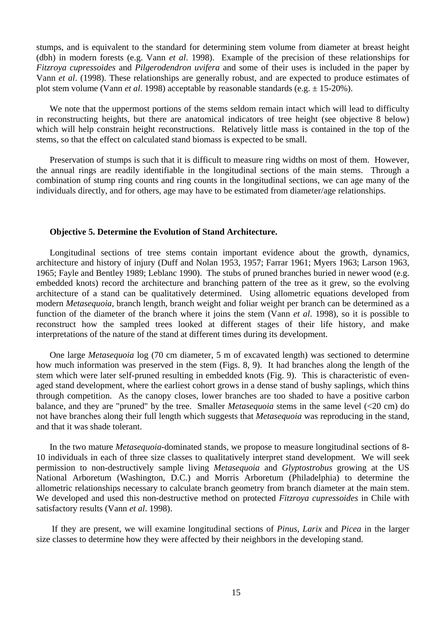stumps, and is equivalent to the standard for determining stem volume from diameter at breast height (dbh) in modern forests (e.g. Vann *et al*. 1998). Example of the precision of these relationships for *Fitzroya cupressoides* and *Pilgerodendron uvifera* and some of their uses is included in the paper by Vann *et al*. (1998). These relationships are generally robust, and are expected to produce estimates of plot stem volume (Vann *et al*. 1998) acceptable by reasonable standards (e.g. ± 15-20%).

We note that the uppermost portions of the stems seldom remain intact which will lead to difficulty in reconstructing heights, but there are anatomical indicators of tree height (see objective 8 below) which will help constrain height reconstructions. Relatively little mass is contained in the top of the stems, so that the effect on calculated stand biomass is expected to be small.

Preservation of stumps is such that it is difficult to measure ring widths on most of them. However, the annual rings are readily identifiable in the longitudinal sections of the main stems. Through a combination of stump ring counts and ring counts in the longitudinal sections, we can age many of the individuals directly, and for others, age may have to be estimated from diameter/age relationships.

### **Objective 5. Determine the Evolution of Stand Architecture.**

Longitudinal sections of tree stems contain important evidence about the growth, dynamics, architecture and history of injury (Duff and Nolan 1953, 1957; Farrar 1961; Myers 1963; Larson 1963, 1965; Fayle and Bentley 1989; Leblanc 1990). The stubs of pruned branches buried in newer wood (e.g. embedded knots) record the architecture and branching pattern of the tree as it grew, so the evolving architecture of a stand can be qualitatively determined. Using allometric equations developed from modern *Metasequoia*, branch length, branch weight and foliar weight per branch can be determined as a function of the diameter of the branch where it joins the stem (Vann *et al*. 1998), so it is possible to reconstruct how the sampled trees looked at different stages of their life history, and make interpretations of the nature of the stand at different times during its development.

One large *Metasequoia* log (70 cm diameter, 5 m of excavated length) was sectioned to determine how much information was preserved in the stem (Figs. 8, 9). It had branches along the length of the stem which were later self-pruned resulting in embedded knots (Fig. 9). This is characteristic of evenaged stand development, where the earliest cohort grows in a dense stand of bushy saplings, which thins through competition. As the canopy closes, lower branches are too shaded to have a positive carbon balance, and they are "pruned" by the tree. Smaller *Metasequoia* stems in the same level (<20 cm) do not have branches along their full length which suggests that *Metasequoia* was reproducing in the stand, and that it was shade tolerant.

In the two mature *Metasequoia*-dominated stands, we propose to measure longitudinal sections of 8- 10 individuals in each of three size classes to qualitatively interpret stand development. We will seek permission to non-destructively sample living *Metasequoia* and *Glyptostrobus* growing at the US National Arboretum (Washington, D.C.) and Morris Arboretum (Philadelphia) to determine the allometric relationships necessary to calculate branch geometry from branch diameter at the main stem. We developed and used this non-destructive method on protected *Fitzroya cupressoides* in Chile with satisfactory results (Vann *et al*. 1998).

 If they are present, we will examine longitudinal sections of *Pinus*, *Larix* and *Picea* in the larger size classes to determine how they were affected by their neighbors in the developing stand.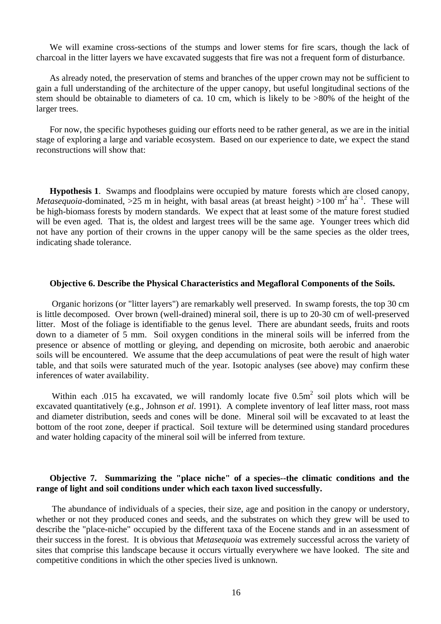We will examine cross-sections of the stumps and lower stems for fire scars, though the lack of charcoal in the litter layers we have excavated suggests that fire was not a frequent form of disturbance.

As already noted, the preservation of stems and branches of the upper crown may not be sufficient to gain a full understanding of the architecture of the upper canopy, but useful longitudinal sections of the stem should be obtainable to diameters of ca. 10 cm, which is likely to be >80% of the height of the larger trees.

For now, the specific hypotheses guiding our efforts need to be rather general, as we are in the initial stage of exploring a large and variable ecosystem. Based on our experience to date, we expect the stand reconstructions will show that:

**Hypothesis 1**. Swamps and floodplains were occupied by mature forests which are closed canopy, *Metasequoia*-dominated, >25 m in height, with basal areas (at breast height) >100 m<sup>2</sup> ha<sup>-1</sup>. These will be high-biomass forests by modern standards. We expect that at least some of the mature forest studied will be even aged. That is, the oldest and largest trees will be the same age. Younger trees which did not have any portion of their crowns in the upper canopy will be the same species as the older trees, indicating shade tolerance.

### **Objective 6. Describe the Physical Characteristics and Megafloral Components of the Soils.**

Organic horizons (or "litter layers") are remarkably well preserved. In swamp forests, the top 30 cm is little decomposed. Over brown (well-drained) mineral soil, there is up to 20-30 cm of well-preserved litter. Most of the foliage is identifiable to the genus level. There are abundant seeds, fruits and roots down to a diameter of 5 mm. Soil oxygen conditions in the mineral soils will be inferred from the presence or absence of mottling or gleying, and depending on microsite, both aerobic and anaerobic soils will be encountered. We assume that the deep accumulations of peat were the result of high water table, and that soils were saturated much of the year. Isotopic analyses (see above) may confirm these inferences of water availability.

Within each .015 ha excavated, we will randomly locate five 0.5m<sup>2</sup> soil plots which will be excavated quantitatively (e.g., Johnson *et al*. 1991). A complete inventory of leaf litter mass, root mass and diameter distribution, seeds and cones will be done. Mineral soil will be excavated to at least the bottom of the root zone, deeper if practical. Soil texture will be determined using standard procedures and water holding capacity of the mineral soil will be inferred from texture.

## **Objective 7. Summarizing the "place niche" of a species--the climatic conditions and the range of light and soil conditions under which each taxon lived successfully.**

 The abundance of individuals of a species, their size, age and position in the canopy or understory, whether or not they produced cones and seeds, and the substrates on which they grew will be used to describe the "place-niche" occupied by the different taxa of the Eocene stands and in an assessment of their success in the forest. It is obvious that *Metasequoia* was extremely successful across the variety of sites that comprise this landscape because it occurs virtually everywhere we have looked. The site and competitive conditions in which the other species lived is unknown.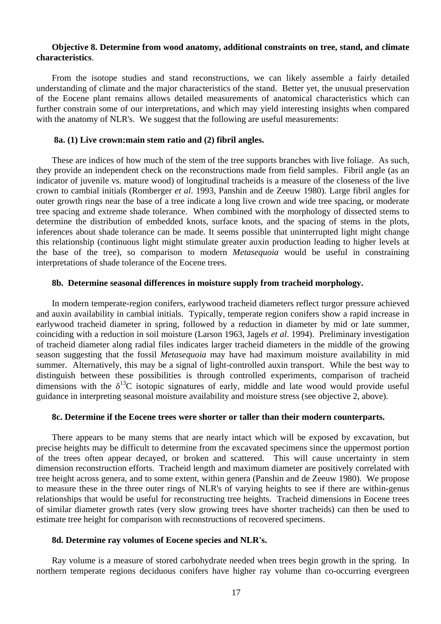## **Objective 8. Determine from wood anatomy, additional constraints on tree, stand, and climate characteristics**.

 From the isotope studies and stand reconstructions, we can likely assemble a fairly detailed understanding of climate and the major characteristics of the stand. Better yet, the unusual preservation of the Eocene plant remains allows detailed measurements of anatomical characteristics which can further constrain some of our interpretations, and which may yield interesting insights when compared with the anatomy of NLR's. We suggest that the following are useful measurements:

## **8a. (1) Live crown:main stem ratio and (2) fibril angles.**

These are indices of how much of the stem of the tree supports branches with live foliage. As such, they provide an independent check on the reconstructions made from field samples. Fibril angle (as an indicator of juvenile vs. mature wood) of longitudinal tracheids is a measure of the closeness of the live crown to cambial initials (Romberger *et al*. 1993, Panshin and de Zeeuw 1980). Large fibril angles for outer growth rings near the base of a tree indicate a long live crown and wide tree spacing, or moderate tree spacing and extreme shade tolerance. When combined with the morphology of dissected stems to determine the distribution of embedded knots, surface knots, and the spacing of stems in the plots, inferences about shade tolerance can be made. It seems possible that uninterrupted light might change this relationship (continuous light might stimulate greater auxin production leading to higher levels at the base of the tree), so comparison to modern *Metasequoia* would be useful in constraining interpretations of shade tolerance of the Eocene trees.

## **8b. Determine seasonal differences in moisture supply from tracheid morphology.**

 In modern temperate-region conifers, earlywood tracheid diameters reflect turgor pressure achieved and auxin availability in cambial initials. Typically, temperate region conifers show a rapid increase in earlywood tracheid diameter in spring, followed by a reduction in diameter by mid or late summer, coinciding with a reduction in soil moisture (Larson 1963, Jagels *et al*. 1994). Preliminary investigation of tracheid diameter along radial files indicates larger tracheid diameters in the middle of the growing season suggesting that the fossil *Metasequoia* may have had maximum moisture availability in mid summer. Alternatively, this may be a signal of light-controlled auxin transport. While the best way to distinguish between these possibilities is through controlled experiments, comparison of tracheid dimensions with the  $\delta^{13}C$  isotopic signatures of early, middle and late wood would provide useful guidance in interpreting seasonal moisture availability and moisture stress (see objective 2, above).

## **8c. Determine if the Eocene trees were shorter or taller than their modern counterparts.**

 There appears to be many stems that are nearly intact which will be exposed by excavation, but precise heights may be difficult to determine from the excavated specimens since the uppermost portion of the trees often appear decayed, or broken and scattered. This will cause uncertainty in stem dimension reconstruction efforts. Tracheid length and maximum diameter are positively correlated with tree height across genera, and to some extent, within genera (Panshin and de Zeeuw 1980). We propose to measure these in the three outer rings of NLR's of varying heights to see if there are within-genus relationships that would be useful for reconstructing tree heights. Tracheid dimensions in Eocene trees of similar diameter growth rates (very slow growing trees have shorter tracheids) can then be used to estimate tree height for comparison with reconstructions of recovered specimens.

## **8d. Determine ray volumes of Eocene species and NLR's.**

 Ray volume is a measure of stored carbohydrate needed when trees begin growth in the spring. In northern temperate regions deciduous conifers have higher ray volume than co-occurring evergreen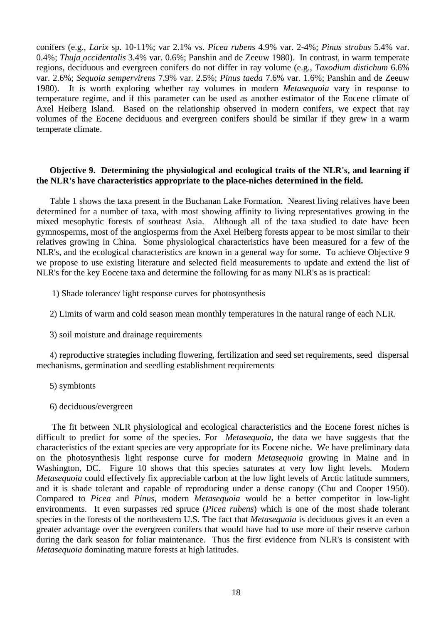conifers (e.g., *Larix* sp. 10-11%; var 2.1% vs. *Picea rubens* 4.9% var. 2-4%; *Pinus strobus* 5.4% var. 0.4%; *Thuja occidentalis* 3.4% var. 0.6%; Panshin and de Zeeuw 1980). In contrast, in warm temperate regions, deciduous and evergreen conifers do not differ in ray volume (e.g., *Taxodium distichum* 6.6% var. 2.6%; *Sequoia sempervirens* 7.9% var. 2.5%; *Pinus taeda* 7.6% var. 1.6%; Panshin and de Zeeuw 1980). It is worth exploring whether ray volumes in modern *Metasequoia* vary in response to temperature regime, and if this parameter can be used as another estimator of the Eocene climate of Axel Heiberg Island. Based on the relationship observed in modern conifers, we expect that ray volumes of the Eocene deciduous and evergreen conifers should be similar if they grew in a warm temperate climate.

## **Objective 9. Determining the physiological and ecological traits of the NLR's, and learning if the NLR's have characteristics appropriate to the place-niches determined in the field.**

Table 1 shows the taxa present in the Buchanan Lake Formation. Nearest living relatives have been determined for a number of taxa, with most showing affinity to living representatives growing in the mixed mesophytic forests of southeast Asia. Although all of the taxa studied to date have been gymnosperms, most of the angiosperms from the Axel Heiberg forests appear to be most similar to their relatives growing in China. Some physiological characteristics have been measured for a few of the NLR's, and the ecological characteristics are known in a general way for some. To achieve Objective 9 we propose to use existing literature and selected field measurements to update and extend the list of NLR's for the key Eocene taxa and determine the following for as many NLR's as is practical:

- 1) Shade tolerance/ light response curves for photosynthesis
- 2) Limits of warm and cold season mean monthly temperatures in the natural range of each NLR.
- 3) soil moisture and drainage requirements

4) reproductive strategies including flowering, fertilization and seed set requirements, seed dispersal mechanisms, germination and seedling establishment requirements

- 5) symbionts
- 6) deciduous/evergreen

 The fit between NLR physiological and ecological characteristics and the Eocene forest niches is difficult to predict for some of the species. For *Metasequoia*, the data we have suggests that the characteristics of the extant species are very appropriate for its Eocene niche. We have preliminary data on the photosynthesis light response curve for modern *Metasequoia* growing in Maine and in Washington, DC. Figure 10 shows that this species saturates at very low light levels. Modern *Metasequoia* could effectively fix appreciable carbon at the low light levels of Arctic latitude summers, and it is shade tolerant and capable of reproducing under a dense canopy (Chu and Cooper 1950). Compared to *Picea* and *Pinus*, modern *Metasequoia* would be a better competitor in low-light environments. It even surpasses red spruce (*Picea rubens*) which is one of the most shade tolerant species in the forests of the northeastern U.S. The fact that *Metasequoia* is deciduous gives it an even a greater advantage over the evergreen conifers that would have had to use more of their reserve carbon during the dark season for foliar maintenance. Thus the first evidence from NLR's is consistent with *Metasequoia* dominating mature forests at high latitudes.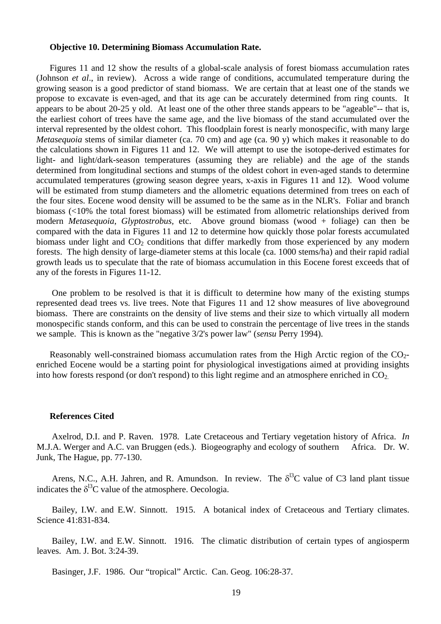### **Objective 10. Determining Biomass Accumulation Rate.**

Figures 11 and 12 show the results of a global-scale analysis of forest biomass accumulation rates (Johnson *et al*., in review). Across a wide range of conditions, accumulated temperature during the growing season is a good predictor of stand biomass. We are certain that at least one of the stands we propose to excavate is even-aged, and that its age can be accurately determined from ring counts. It appears to be about 20-25 y old. At least one of the other three stands appears to be "ageable"-- that is, the earliest cohort of trees have the same age, and the live biomass of the stand accumulated over the interval represented by the oldest cohort. This floodplain forest is nearly monospecific, with many large *Metasequoia* stems of similar diameter (ca. 70 cm) and age (ca. 90 y) which makes it reasonable to do the calculations shown in Figures 11 and 12. We will attempt to use the isotope-derived estimates for light- and light/dark-season temperatures (assuming they are reliable) and the age of the stands determined from longitudinal sections and stumps of the oldest cohort in even-aged stands to determine accumulated temperatures (growing season degree years, x-axis in Figures 11 and 12). Wood volume will be estimated from stump diameters and the allometric equations determined from trees on each of the four sites. Eocene wood density will be assumed to be the same as in the NLR's. Foliar and branch biomass (<10% the total forest biomass) will be estimated from allometric relationships derived from modern *Metasequoia*, *Glyptostrobus,* etc. Above ground biomass (wood + foliage) can then be compared with the data in Figures 11 and 12 to determine how quickly those polar forests accumulated biomass under light and  $CO<sub>2</sub>$  conditions that differ markedly from those experienced by any modern forests. The high density of large-diameter stems at this locale (ca. 1000 stems/ha) and their rapid radial growth leads us to speculate that the rate of biomass accumulation in this Eocene forest exceeds that of any of the forests in Figures 11-12.

 One problem to be resolved is that it is difficult to determine how many of the existing stumps represented dead trees vs. live trees. Note that Figures 11 and 12 show measures of live aboveground biomass. There are constraints on the density of live stems and their size to which virtually all modern monospecific stands conform, and this can be used to constrain the percentage of live trees in the stands we sample. This is known as the "negative 3/2's power law" (*sensu* Perry 1994).

Reasonably well-constrained biomass accumulation rates from the High Arctic region of the  $CO<sub>2</sub>$ enriched Eocene would be a starting point for physiological investigations aimed at providing insights into how forests respond (or don't respond) to this light regime and an atmosphere enriched in  $CO<sub>2</sub>$ .

#### **References Cited**

 Axelrod, D.I. and P. Raven. 1978. Late Cretaceous and Tertiary vegetation history of Africa. *In* M.J.A. Werger and A.C. van Bruggen (eds.). Biogeography and ecology of southern Africa. Dr. W. Junk, The Hague, pp. 77-130.

Arens, N.C., A.H. Jahren, and R. Amundson. In review. The  $\delta^{13}C$  value of C3 land plant tissue indicates the  $\delta^{13}$ C value of the atmosphere. Oecologia.

 Bailey, I.W. and E.W. Sinnott. 1915. A botanical index of Cretaceous and Tertiary climates. Science 41:831-834.

 Bailey, I.W. and E.W. Sinnott. 1916. The climatic distribution of certain types of angiosperm leaves. Am. J. Bot. 3:24-39.

Basinger, J.F. 1986. Our "tropical" Arctic. Can. Geog. 106:28-37.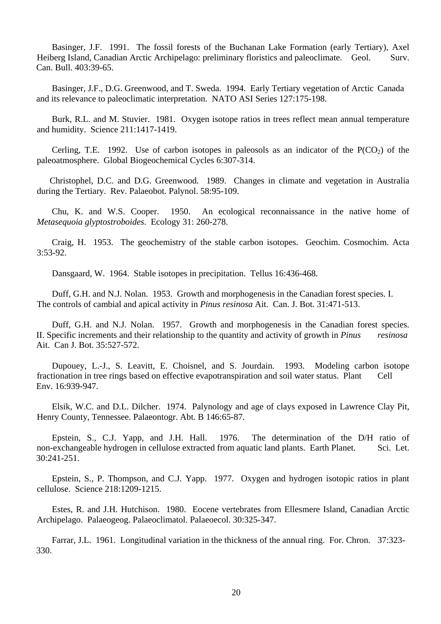Basinger, J.F. 1991. The fossil forests of the Buchanan Lake Formation (early Tertiary), Axel Heiberg Island, Canadian Arctic Archipelago: preliminary floristics and paleoclimate. Geol. Surv. Can. Bull. 403:39-65.

 Basinger, J.F., D.G. Greenwood, and T. Sweda. 1994. Early Tertiary vegetation of Arctic Canada and its relevance to paleoclimatic interpretation. NATO ASI Series 127:175-198.

 Burk, R.L. and M. Stuvier. 1981. Oxygen isotope ratios in trees reflect mean annual temperature and humidity. Science 211:1417-1419.

Cerling, T.E. 1992. Use of carbon isotopes in paleosols as an indicator of the  $P(CO_2)$  of the paleoatmosphere. Global Biogeochemical Cycles 6:307-314.

Christophel, D.C. and D.G. Greenwood. 1989. Changes in climate and vegetation in Australia during the Tertiary. Rev. Palaeobot. Palynol. 58:95-109.

 Chu, K. and W.S. Cooper. 1950. An ecological reconnaissance in the native home of *Metasequoia glyptostroboides*. Ecology 31: 260-278.

 Craig, H. 1953. The geochemistry of the stable carbon isotopes. Geochim. Cosmochim. Acta 3:53-92.

Dansgaard, W. 1964. Stable isotopes in precipitation. Tellus 16:436-468.

 Duff, G.H. and N.J. Nolan. 1953. Growth and morphogenesis in the Canadian forest species. I. The controls of cambial and apical activity in *Pinus resinosa* Ait. Can. J. Bot. 31:471-513.

 Duff, G.H. and N.J. Nolan. 1957. Growth and morphogenesis in the Canadian forest species. II. Specific increments and their relationship to the quantity and activity of growth in *Pinus resinosa* Ait. Can J. Bot. 35:527-572.

 Dupouey, L.-J., S. Leavitt, E. Choisnel, and S. Jourdain. 1993. Modeling carbon isotope fractionation in tree rings based on effective evapotranspiration and soil water status. Plant Cell Env. 16:939-947.

 Elsik, W.C. and D.L. Dilcher. 1974. Palynology and age of clays exposed in Lawrence Clay Pit, Henry County, Tennessee. Palaeontogr. Abt. B 146:65-87.

 Epstein, S., C.J. Yapp, and J.H. Hall. 1976. The determination of the D/H ratio of non-exchangeable hydrogen in cellulose extracted from aquatic land plants. Earth Planet. Sci. Let. 30:241-251.

 Epstein, S., P. Thompson, and C.J. Yapp. 1977. Oxygen and hydrogen isotopic ratios in plant cellulose. Science 218:1209-1215.

 Estes, R. and J.H. Hutchison. 1980. Eocene vertebrates from Ellesmere Island, Canadian Arctic Archipelago. Palaeogeog. Palaeoclimatol. Palaeoecol. 30:325-347.

 Farrar, J.L. 1961. Longitudinal variation in the thickness of the annual ring. For. Chron. 37:323- 330.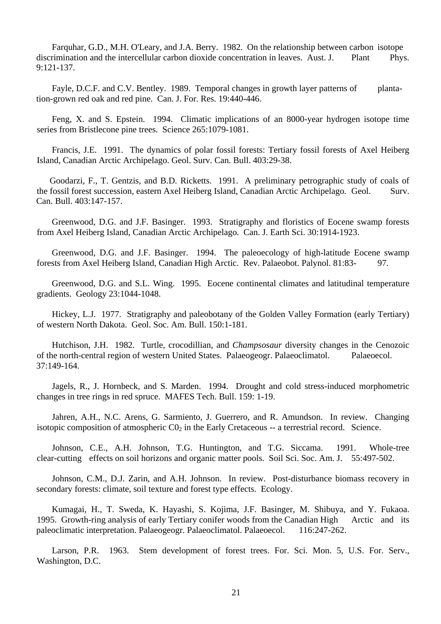Farquhar, G.D., M.H. O'Leary, and J.A. Berry. 1982. On the relationship between carbon isotope discrimination and the intercellular carbon dioxide concentration in leaves. Aust. J. Plant Phys. 9:121-137.

Fayle, D.C.F. and C.V. Bentley. 1989. Temporal changes in growth layer patterns of plantation-grown red oak and red pine. Can. J. For. Res. 19:440-446.

 Feng, X. and S. Epstein. 1994. Climatic implications of an 8000-year hydrogen isotope time series from Bristlecone pine trees. Science 265:1079-1081.

 Francis, J.E. 1991. The dynamics of polar fossil forests: Tertiary fossil forests of Axel Heiberg Island, Canadian Arctic Archipelago. Geol. Surv. Can. Bull. 403:29-38.

Goodarzi, F., T. Gentzis, and B.D. Ricketts. 1991. A preliminary petrographic study of coals of the fossil forest succession, eastern Axel Heiberg Island, Canadian Arctic Archipelago. Geol. Surv. Can. Bull. 403:147-157.

 Greenwood, D.G. and J.F. Basinger. 1993. Stratigraphy and floristics of Eocene swamp forests from Axel Heiberg Island, Canadian Arctic Archipelago. Can. J. Earth Sci. 30:1914-1923.

 Greenwood, D.G. and J.F. Basinger. 1994. The paleoecology of high-latitude Eocene swamp forests from Axel Heiberg Island, Canadian High Arctic. Rev. Palaeobot. Palynol. 81:83- 97.

 Greenwood, D.G. and S.L. Wing. 1995. Eocene continental climates and latitudinal temperature gradients. Geology 23:1044-1048.

 Hickey, L.J. 1977. Stratigraphy and paleobotany of the Golden Valley Formation (early Tertiary) of western North Dakota. Geol. Soc. Am. Bull. 150:1-181.

 Hutchison, J.H. 1982. Turtle, crocodillian, and *Champsosaur* diversity changes in the Cenozoic of the north-central region of western United States. Palaeogeogr. Palaeoclimatol. Palaeoecol. 37:149-164.

 Jagels, R., J. Hornbeck, and S. Marden. 1994. Drought and cold stress-induced morphometric changes in tree rings in red spruce. MAFES Tech. Bull. 159: 1-19.

 Jahren, A.H., N.C. Arens, G. Sarmiento, J. Guerrero, and R. Amundson. In review. Changing isotopic composition of atmospheric  $CO<sub>2</sub>$  in the Early Cretaceous -- a terrestrial record. Science.

 Johnson, C.E., A.H. Johnson, T.G. Huntington, and T.G. Siccama. 1991. Whole-tree clear-cutting effects on soil horizons and organic matter pools. Soil Sci. Soc. Am. J. 55:497-502.

 Johnson, C.M., D.J. Zarin, and A.H. Johnson. In review. Post-disturbance biomass recovery in secondary forests: climate, soil texture and forest type effects. Ecology.

 Kumagai, H., T. Sweda, K. Hayashi, S. Kojima, J.F. Basinger, M. Shibuya, and Y. Fukaoa. 1995. Growth-ring analysis of early Tertiary conifer woods from the Canadian High Arctic and its paleoclimatic interpretation. Palaeogeogr. Palaeoclimatol. Palaeoecol. 116:247-262.

 Larson, P.R. 1963. Stem development of forest trees. For. Sci. Mon. 5, U.S. For. Serv., Washington, D.C.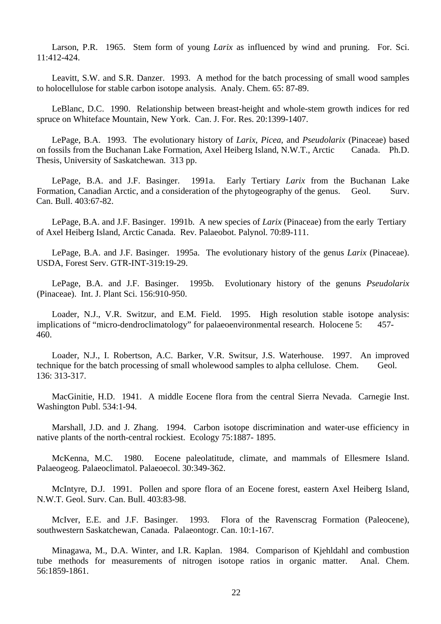Larson, P.R. 1965. Stem form of young *Larix* as influenced by wind and pruning. For. Sci. 11:412-424.

 Leavitt, S.W. and S.R. Danzer. 1993. A method for the batch processing of small wood samples to holocellulose for stable carbon isotope analysis. Analy. Chem. 65: 87-89.

 LeBlanc, D.C. 1990. Relationship between breast-height and whole-stem growth indices for red spruce on Whiteface Mountain, New York. Can. J. For. Res. 20:1399-1407.

 LePage, B.A. 1993. The evolutionary history of *Larix*, *Picea*, and *Pseudolarix* (Pinaceae) based on fossils from the Buchanan Lake Formation, Axel Heiberg Island, N.W.T., Arctic Canada. Ph.D. Thesis, University of Saskatchewan. 313 pp.

 LePage, B.A. and J.F. Basinger. 1991a. Early Tertiary *Larix* from the Buchanan Lake Formation, Canadian Arctic, and a consideration of the phytogeography of the genus. Geol. Surv. Can. Bull. 403:67-82.

 LePage, B.A. and J.F. Basinger. 1991b. A new species of *Larix* (Pinaceae) from the early Tertiary of Axel Heiberg Island, Arctic Canada. Rev. Palaeobot. Palynol. 70:89-111.

 LePage, B.A. and J.F. Basinger. 1995a. The evolutionary history of the genus *Larix* (Pinaceae). USDA, Forest Serv. GTR-INT-319:19-29.

 LePage, B.A. and J.F. Basinger. 1995b. Evolutionary history of the genuns *Pseudolarix* (Pinaceae). Int. J. Plant Sci. 156:910-950.

 Loader, N.J., V.R. Switzur, and E.M. Field. 1995. High resolution stable isotope analysis: implications of "micro-dendroclimatology" for palaeoenvironmental research. Holocene 5: 457- 460.

 Loader, N.J., I. Robertson, A.C. Barker, V.R. Switsur, J.S. Waterhouse. 1997. An improved technique for the batch processing of small wholewood samples to alpha cellulose. Chem. Geol. 136: 313-317.

 MacGinitie, H.D. 1941. A middle Eocene flora from the central Sierra Nevada. Carnegie Inst. Washington Publ. 534:1-94.

 Marshall, J.D. and J. Zhang. 1994. Carbon isotope discrimination and water-use efficiency in native plants of the north-central rockiest. Ecology 75:1887- 1895.

 McKenna, M.C. 1980. Eocene paleolatitude, climate, and mammals of Ellesmere Island. Palaeogeog. Palaeoclimatol. Palaeoecol. 30:349-362.

 McIntyre, D.J. 1991. Pollen and spore flora of an Eocene forest, eastern Axel Heiberg Island, N.W.T. Geol. Surv. Can. Bull. 403:83-98.

 McIver, E.E. and J.F. Basinger. 1993. Flora of the Ravenscrag Formation (Paleocene), southwestern Saskatchewan, Canada. Palaeontogr. Can. 10:1-167.

 Minagawa, M., D.A. Winter, and I.R. Kaplan. 1984. Comparison of Kjehldahl and combustion tube methods for measurements of nitrogen isotope ratios in organic matter. Anal. Chem. 56:1859-1861.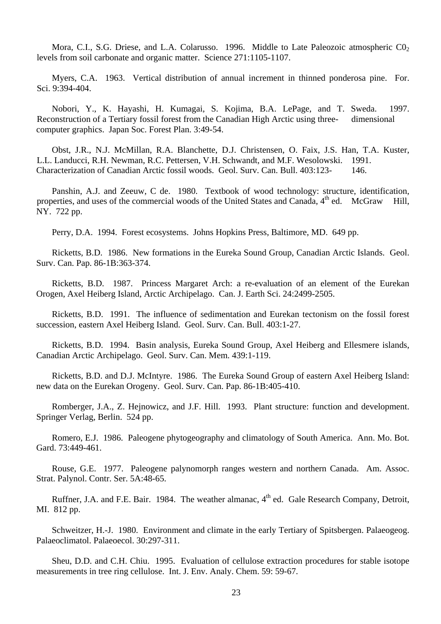Mora, C.I., S.G. Driese, and L.A. Colarusso. 1996. Middle to Late Paleozoic atmospheric  $C_0$ , levels from soil carbonate and organic matter. Science 271:1105-1107.

 Myers, C.A. 1963. Vertical distribution of annual increment in thinned ponderosa pine. For. Sci. 9:394-404.

 Nobori, Y., K. Hayashi, H. Kumagai, S. Kojima, B.A. LePage, and T. Sweda. 1997. Reconstruction of a Tertiary fossil forest from the Canadian High Arctic using three- dimensional computer graphics. Japan Soc. Forest Plan. 3:49-54.

 Obst, J.R., N.J. McMillan, R.A. Blanchette, D.J. Christensen, O. Faix, J.S. Han, T.A. Kuster, L.L. Landucci, R.H. Newman, R.C. Pettersen, V.H. Schwandt, and M.F. Wesolowski. 1991. Characterization of Canadian Arctic fossil woods. Geol. Surv. Can. Bull. 403:123- 146.

 Panshin, A.J. and Zeeuw, C de. 1980. Textbook of wood technology: structure, identification, properties, and uses of the commercial woods of the United States and Canada,  $4<sup>th</sup>$  ed. McGraw Hill, NY. 722 pp.

Perry, D.A. 1994. Forest ecosystems. Johns Hopkins Press, Baltimore, MD. 649 pp.

 Ricketts, B.D. 1986. New formations in the Eureka Sound Group, Canadian Arctic Islands. Geol. Surv. Can. Pap. 86-1B:363-374.

 Ricketts, B.D. 1987. Princess Margaret Arch: a re-evaluation of an element of the Eurekan Orogen, Axel Heiberg Island, Arctic Archipelago. Can. J. Earth Sci. 24:2499-2505.

 Ricketts, B.D. 1991. The influence of sedimentation and Eurekan tectonism on the fossil forest succession, eastern Axel Heiberg Island. Geol. Surv. Can. Bull. 403:1-27.

 Ricketts, B.D. 1994. Basin analysis, Eureka Sound Group, Axel Heiberg and Ellesmere islands, Canadian Arctic Archipelago. Geol. Surv. Can. Mem. 439:1-119.

 Ricketts, B.D. and D.J. McIntyre. 1986. The Eureka Sound Group of eastern Axel Heiberg Island: new data on the Eurekan Orogeny. Geol. Surv. Can. Pap. 86-1B:405-410.

 Romberger, J.A., Z. Hejnowicz, and J.F. Hill. 1993. Plant structure: function and development. Springer Verlag, Berlin. 524 pp.

 Romero, E.J. 1986. Paleogene phytogeography and climatology of South America. Ann. Mo. Bot. Gard. 73:449-461.

 Rouse, G.E. 1977. Paleogene palynomorph ranges western and northern Canada. Am. Assoc. Strat. Palynol. Contr. Ser. 5A:48-65.

Ruffner, J.A. and F.E. Bair. 1984. The weather almanac, 4<sup>th</sup> ed. Gale Research Company, Detroit, MI. 812 pp.

 Schweitzer, H.-J. 1980. Environment and climate in the early Tertiary of Spitsbergen. Palaeogeog. Palaeoclimatol. Palaeoecol. 30:297-311.

 Sheu, D.D. and C.H. Chiu. 1995. Evaluation of cellulose extraction procedures for stable isotope measurements in tree ring cellulose. Int. J. Env. Analy. Chem. 59: 59-67.